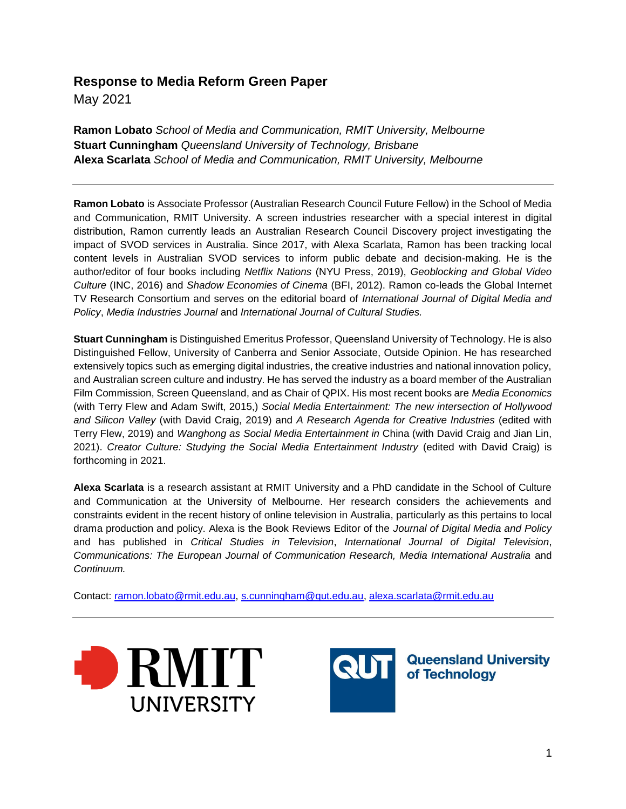# **Response to Media Reform Green Paper**

May 2021

**Ramon Lobato** *School of Media and Communication, RMIT University, Melbourne*  **Stuart Cunningham** *Queensland University of Technology, Brisbane* **Alexa Scarlata** *School of Media and Communication, RMIT University, Melbourne* 

**Ramon Lobato** is Associate Professor (Australian Research Council Future Fellow) in the School of Media and Communication, RMIT University. A screen industries researcher with a special interest in digital distribution, Ramon currently leads an Australian Research Council Discovery project investigating the impact of SVOD services in Australia. Since 2017, with Alexa Scarlata, Ramon has been tracking local content levels in Australian SVOD services to inform public debate and decision-making. He is the author/editor of four books including *Netflix Nations* (NYU Press, 2019), *Geoblocking and Global Video Culture* (INC, 2016) and *Shadow Economies of Cinema* (BFI, 2012). Ramon co-leads the Global Internet TV Research Consortium and serves on the editorial board of *International Journal of Digital Media and Policy*, *Media Industries Journal* and *International Journal of Cultural Studies.*

**Stuart Cunningham** is Distinguished Emeritus Professor, Queensland University of Technology. He is also Distinguished Fellow, University of Canberra and Senior Associate, Outside Opinion. He has researched extensively topics such as emerging digital industries, the creative industries and national innovation policy, and Australian screen culture and industry. He has served the industry as a board member of the Australian Film Commission, Screen Queensland, and as Chair of QPIX. His most recent books are *Media Economics* (with Terry Flew and Adam Swift, 2015,) *Social Media Entertainment: The new intersection of Hollywood and Silicon Valley* (with David Craig, 2019) and *A Research Agenda for Creative Industries* (edited with Terry Flew, 2019) and *Wanghong as Social Media Entertainment in* China (with David Craig and Jian Lin, 2021). *Creator Culture: Studying the Social Media Entertainment Industry* (edited with David Craig) is forthcoming in 2021.

**Alexa Scarlata** is a research assistant at RMIT University and a PhD candidate in the School of Culture and Communication at the University of Melbourne. Her research considers the achievements and constraints evident in the recent history of online television in Australia, particularly as this pertains to local drama production and policy. Alexa is the Book Reviews Editor of the *Journal of Digital Media and Policy* and has published in *Critical Studies in Television*, *International Journal of Digital Television*, *Communications: The European Journal of Communication Research, Media International Australia* and *Continuum.*

Contact: [ramon.lobato@rmit.edu.au,](mailto:ramon.lobato@rmit.edu.au) [s.cunningham@qut.edu.au,](mailto:s.cunningham@qut.edu.au) [alexa.scarlata@rmit.edu.au](mailto:alexa.scarlata@rmit.edu.au) 





**QUE | Queensland University**<br>of Technology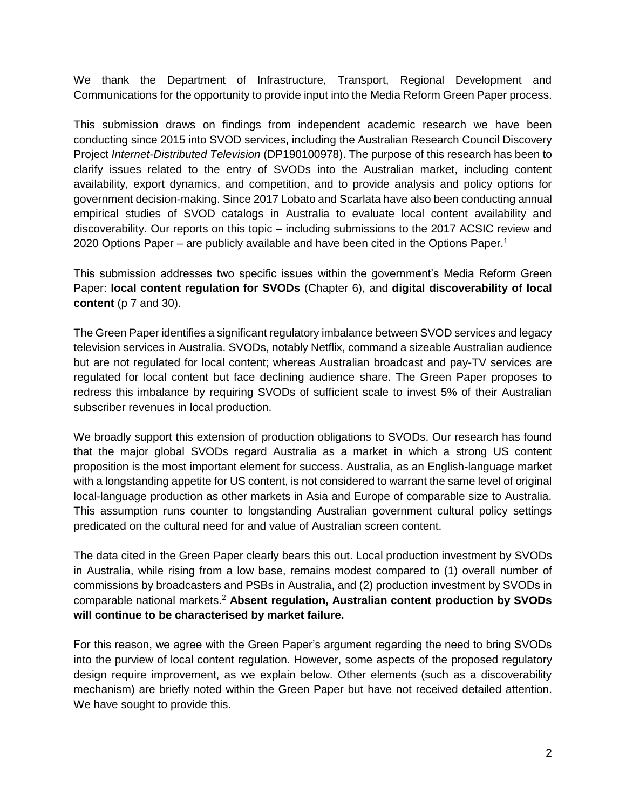We thank the Department of Infrastructure, Transport, Regional Development and Communications for the opportunity to provide input into the Media Reform Green Paper process.

This submission draws on findings from independent academic research we have been conducting since 2015 into SVOD services, including the Australian Research Council Discovery Project *Internet-Distributed Television* (DP190100978). The purpose of this research has been to clarify issues related to the entry of SVODs into the Australian market, including content availability, export dynamics, and competition, and to provide analysis and policy options for government decision-making. Since 2017 Lobato and Scarlata have also been conducting annual empirical studies of SVOD catalogs in Australia to evaluate local content availability and discoverability. Our reports on this topic – including submissions to the 2017 ACSIC review and 2020 Options Paper – are publicly available and have been cited in the Options Paper.<sup>1</sup>

This submission addresses two specific issues within the government's Media Reform Green Paper: **local content regulation for SVODs** (Chapter 6), and **digital discoverability of local content** (p 7 and 30).

The Green Paper identifies a significant regulatory imbalance between SVOD services and legacy television services in Australia. SVODs, notably Netflix, command a sizeable Australian audience but are not regulated for local content; whereas Australian broadcast and pay-TV services are regulated for local content but face declining audience share. The Green Paper proposes to redress this imbalance by requiring SVODs of sufficient scale to invest 5% of their Australian subscriber revenues in local production.

We broadly support this extension of production obligations to SVODs. Our research has found that the major global SVODs regard Australia as a market in which a strong US content proposition is the most important element for success. Australia, as an English-language market with a longstanding appetite for US content, is not considered to warrant the same level of original local-language production as other markets in Asia and Europe of comparable size to Australia. This assumption runs counter to longstanding Australian government cultural policy settings predicated on the cultural need for and value of Australian screen content.

The data cited in the Green Paper clearly bears this out. Local production investment by SVODs in Australia, while rising from a low base, remains modest compared to (1) overall number of commissions by broadcasters and PSBs in Australia, and (2) production investment by SVODs in comparable national markets.<sup>2</sup> **Absent regulation, Australian content production by SVODs will continue to be characterised by market failure.** 

For this reason, we agree with the Green Paper's argument regarding the need to bring SVODs into the purview of local content regulation. However, some aspects of the proposed regulatory design require improvement, as we explain below. Other elements (such as a discoverability mechanism) are briefly noted within the Green Paper but have not received detailed attention. We have sought to provide this.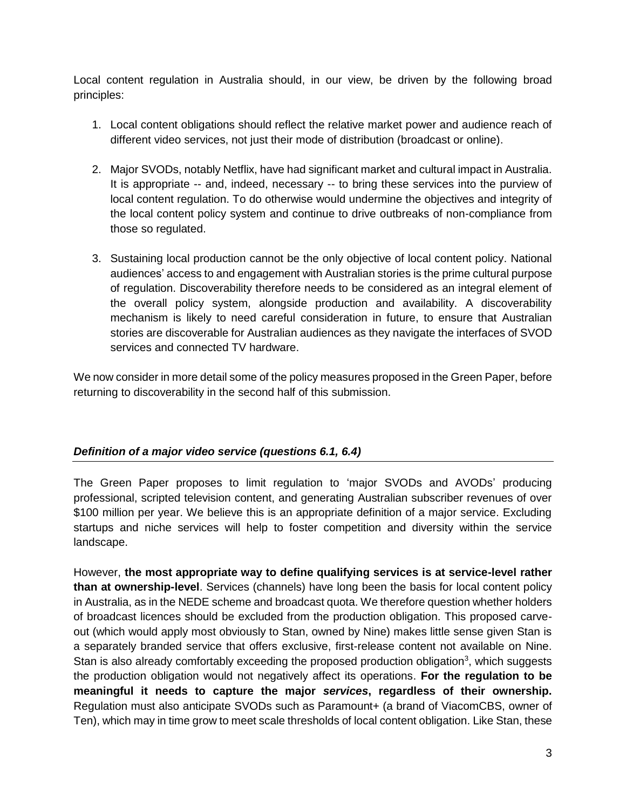Local content regulation in Australia should, in our view, be driven by the following broad principles:

- 1. Local content obligations should reflect the relative market power and audience reach of different video services, not just their mode of distribution (broadcast or online).
- 2. Major SVODs, notably Netflix, have had significant market and cultural impact in Australia. It is appropriate -- and, indeed, necessary -- to bring these services into the purview of local content regulation. To do otherwise would undermine the objectives and integrity of the local content policy system and continue to drive outbreaks of non-compliance from those so regulated.
- 3. Sustaining local production cannot be the only objective of local content policy. National audiences' access to and engagement with Australian stories is the prime cultural purpose of regulation. Discoverability therefore needs to be considered as an integral element of the overall policy system, alongside production and availability. A discoverability mechanism is likely to need careful consideration in future, to ensure that Australian stories are discoverable for Australian audiences as they navigate the interfaces of SVOD services and connected TV hardware.

We now consider in more detail some of the policy measures proposed in the Green Paper, before returning to discoverability in the second half of this submission.

# *Definition of a major video service (questions 6.1, 6.4)*

The Green Paper proposes to limit regulation to 'major SVODs and AVODs' producing professional, scripted television content, and generating Australian subscriber revenues of over \$100 million per year. We believe this is an appropriate definition of a major service. Excluding startups and niche services will help to foster competition and diversity within the service landscape.

However, **the most appropriate way to define qualifying services is at service-level rather than at ownership-level**. Services (channels) have long been the basis for local content policy in Australia, as in the NEDE scheme and broadcast quota. We therefore question whether holders of broadcast licences should be excluded from the production obligation. This proposed carveout (which would apply most obviously to Stan, owned by Nine) makes little sense given Stan is a separately branded service that offers exclusive, first-release content not available on Nine. Stan is also already comfortably exceeding the proposed production obligation<sup>3</sup>, which suggests the production obligation would not negatively affect its operations. **For the regulation to be meaningful it needs to capture the major** *services***, regardless of their ownership.**  Regulation must also anticipate SVODs such as Paramount+ (a brand of ViacomCBS, owner of Ten), which may in time grow to meet scale thresholds of local content obligation. Like Stan, these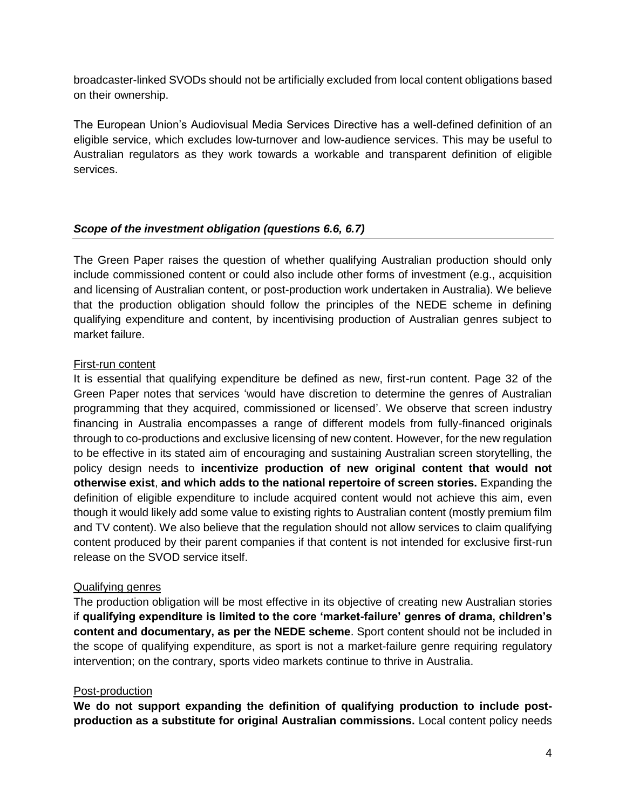broadcaster-linked SVODs should not be artificially excluded from local content obligations based on their ownership.

The European Union's Audiovisual Media Services Directive has a well-defined definition of an eligible service, which excludes low-turnover and low-audience services. This may be useful to Australian regulators as they work towards a workable and transparent definition of eligible services.

### *Scope of the investment obligation (questions 6.6, 6.7)*

The Green Paper raises the question of whether qualifying Australian production should only include commissioned content or could also include other forms of investment (e.g., acquisition and licensing of Australian content, or post-production work undertaken in Australia). We believe that the production obligation should follow the principles of the NEDE scheme in defining qualifying expenditure and content, by incentivising production of Australian genres subject to market failure.

#### First-run content

It is essential that qualifying expenditure be defined as new, first-run content. Page 32 of the Green Paper notes that services 'would have discretion to determine the genres of Australian programming that they acquired, commissioned or licensed'. We observe that screen industry financing in Australia encompasses a range of different models from fully-financed originals through to co-productions and exclusive licensing of new content. However, for the new regulation to be effective in its stated aim of encouraging and sustaining Australian screen storytelling, the policy design needs to **incentivize production of new original content that would not otherwise exist**, **and which adds to the national repertoire of screen stories.** Expanding the definition of eligible expenditure to include acquired content would not achieve this aim, even though it would likely add some value to existing rights to Australian content (mostly premium film and TV content). We also believe that the regulation should not allow services to claim qualifying content produced by their parent companies if that content is not intended for exclusive first-run release on the SVOD service itself.

#### Qualifying genres

The production obligation will be most effective in its objective of creating new Australian stories if **qualifying expenditure is limited to the core 'market-failure' genres of drama, children's content and documentary, as per the NEDE scheme**. Sport content should not be included in the scope of qualifying expenditure, as sport is not a market-failure genre requiring regulatory intervention; on the contrary, sports video markets continue to thrive in Australia.

#### Post-production

**We do not support expanding the definition of qualifying production to include postproduction as a substitute for original Australian commissions.** Local content policy needs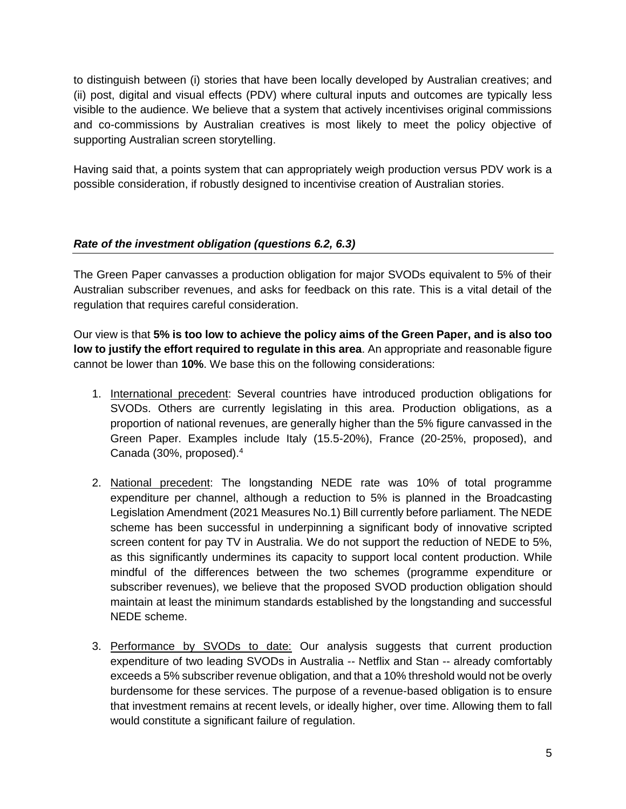to distinguish between (i) stories that have been locally developed by Australian creatives; and (ii) post, digital and visual effects (PDV) where cultural inputs and outcomes are typically less visible to the audience. We believe that a system that actively incentivises original commissions and co-commissions by Australian creatives is most likely to meet the policy objective of supporting Australian screen storytelling.

Having said that, a points system that can appropriately weigh production versus PDV work is a possible consideration, if robustly designed to incentivise creation of Australian stories.

# *Rate of the investment obligation (questions 6.2, 6.3)*

The Green Paper canvasses a production obligation for major SVODs equivalent to 5% of their Australian subscriber revenues, and asks for feedback on this rate. This is a vital detail of the regulation that requires careful consideration.

Our view is that **5% is too low to achieve the policy aims of the Green Paper, and is also too low to justify the effort required to regulate in this area**. An appropriate and reasonable figure cannot be lower than **10%**. We base this on the following considerations:

- 1. International precedent: Several countries have introduced production obligations for SVODs. Others are currently legislating in this area. Production obligations, as a proportion of national revenues, are generally higher than the 5% figure canvassed in the Green Paper. Examples include Italy (15.5-20%), France (20-25%, proposed), and Canada (30%, proposed).<sup>4</sup>
- 2. National precedent: The longstanding NEDE rate was 10% of total programme expenditure per channel, although a reduction to 5% is planned in the Broadcasting Legislation Amendment (2021 Measures No.1) Bill currently before parliament. The NEDE scheme has been successful in underpinning a significant body of innovative scripted screen content for pay TV in Australia. We do not support the reduction of NEDE to 5%, as this significantly undermines its capacity to support local content production. While mindful of the differences between the two schemes (programme expenditure or subscriber revenues), we believe that the proposed SVOD production obligation should maintain at least the minimum standards established by the longstanding and successful NEDE scheme.
- 3. Performance by SVODs to date: Our analysis suggests that current production expenditure of two leading SVODs in Australia -- Netflix and Stan -- already comfortably exceeds a 5% subscriber revenue obligation, and that a 10% threshold would not be overly burdensome for these services. The purpose of a revenue-based obligation is to ensure that investment remains at recent levels, or ideally higher, over time. Allowing them to fall would constitute a significant failure of regulation.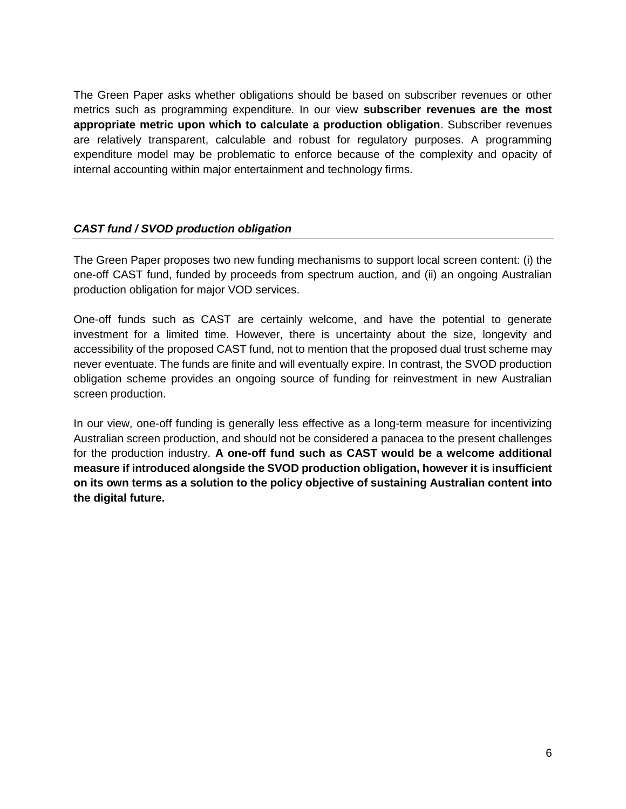The Green Paper asks whether obligations should be based on subscriber revenues or other metrics such as programming expenditure. In our view **subscriber revenues are the most appropriate metric upon which to calculate a production obligation**. Subscriber revenues are relatively transparent, calculable and robust for regulatory purposes. A programming expenditure model may be problematic to enforce because of the complexity and opacity of internal accounting within major entertainment and technology firms.

# *CAST fund / SVOD production obligation*

The Green Paper proposes two new funding mechanisms to support local screen content: (i) the one-off CAST fund, funded by proceeds from spectrum auction, and (ii) an ongoing Australian production obligation for major VOD services.

One-off funds such as CAST are certainly welcome, and have the potential to generate investment for a limited time. However, there is uncertainty about the size, longevity and accessibility of the proposed CAST fund, not to mention that the proposed dual trust scheme may never eventuate. The funds are finite and will eventually expire. In contrast, the SVOD production obligation scheme provides an ongoing source of funding for reinvestment in new Australian screen production.

In our view, one-off funding is generally less effective as a long-term measure for incentivizing Australian screen production, and should not be considered a panacea to the present challenges for the production industry. **A one-off fund such as CAST would be a welcome additional measure if introduced alongside the SVOD production obligation, however it is insufficient on its own terms as a solution to the policy objective of sustaining Australian content into the digital future.**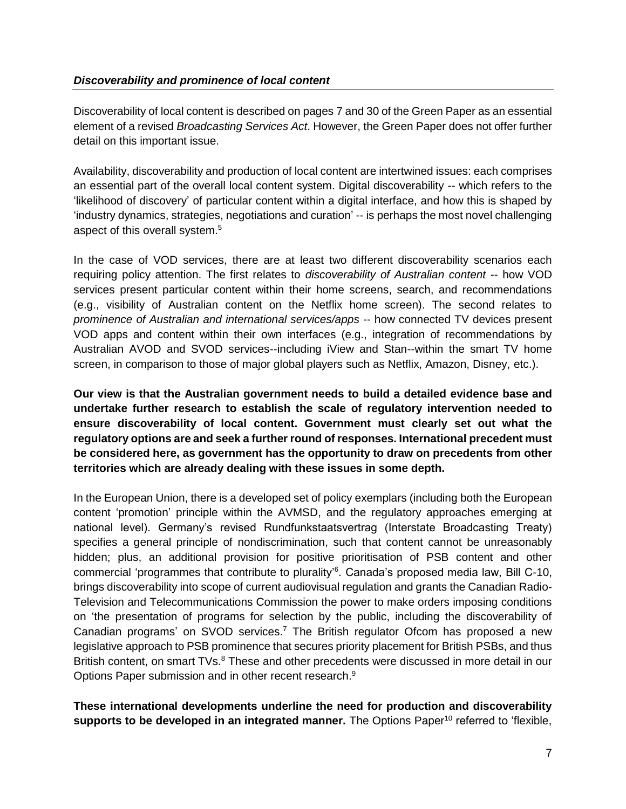Discoverability of local content is described on pages 7 and 30 of the Green Paper as an essential element of a revised *Broadcasting Services Act*. However, the Green Paper does not offer further detail on this important issue.

Availability, discoverability and production of local content are intertwined issues: each comprises an essential part of the overall local content system. Digital discoverability -- which refers to the 'likelihood of discovery' of particular content within a digital interface, and how this is shaped by 'industry dynamics, strategies, negotiations and curation' -- is perhaps the most novel challenging aspect of this overall system.<sup>5</sup>

In the case of VOD services, there are at least two different discoverability scenarios each requiring policy attention. The first relates to *discoverability of Australian content* -- how VOD services present particular content within their home screens, search, and recommendations (e.g., visibility of Australian content on the Netflix home screen). The second relates to *prominence of Australian and international services/apps* -- how connected TV devices present VOD apps and content within their own interfaces (e.g., integration of recommendations by Australian AVOD and SVOD services--including iView and Stan--within the smart TV home screen, in comparison to those of major global players such as Netflix, Amazon, Disney, etc.).

**Our view is that the Australian government needs to build a detailed evidence base and undertake further research to establish the scale of regulatory intervention needed to ensure discoverability of local content. Government must clearly set out what the regulatory options are and seek a further round of responses. International precedent must be considered here, as government has the opportunity to draw on precedents from other territories which are already dealing with these issues in some depth.**

In the European Union, there is a developed set of policy exemplars (including both the European content 'promotion' principle within the AVMSD, and the regulatory approaches emerging at national level). Germany's revised Rundfunkstaatsvertrag (Interstate Broadcasting Treaty) specifies a general principle of nondiscrimination, such that content cannot be unreasonably hidden; plus, an additional provision for positive prioritisation of PSB content and other commercial 'programmes that contribute to plurality' 6 . Canada's proposed media law, Bill C-10, brings discoverability into scope of current audiovisual regulation and grants the Canadian Radio-Television and Telecommunications Commission the power to make orders imposing conditions on 'the presentation of programs for selection by the public, including the discoverability of Canadian programs' on SVOD services.<sup>7</sup> The British regulator Ofcom has proposed a new legislative approach to PSB prominence that secures priority placement for British PSBs, and thus British content, on smart TVs.<sup>8</sup> These and other precedents were discussed in more detail in our Options Paper submission and in other recent research.<sup>9</sup>

**These international developments underline the need for production and discoverability supports to be developed in an integrated manner.** The Options Paper<sup>10</sup> referred to 'flexible,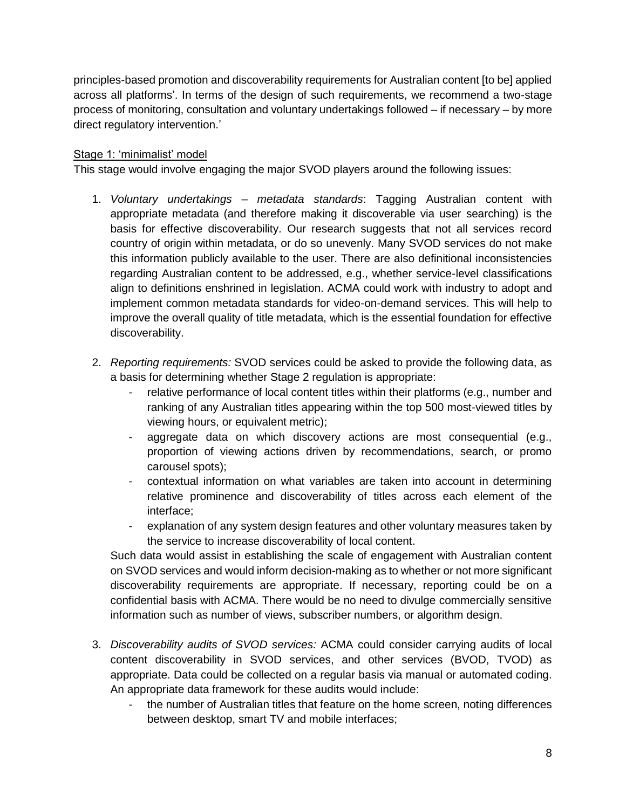principles-based promotion and discoverability requirements for Australian content [to be] applied across all platforms'. In terms of the design of such requirements, we recommend a two-stage process of monitoring, consultation and voluntary undertakings followed – if necessary – by more direct regulatory intervention.'

### Stage 1: 'minimalist' model

This stage would involve engaging the major SVOD players around the following issues:

- 1. *Voluntary undertakings – metadata standards*: Tagging Australian content with appropriate metadata (and therefore making it discoverable via user searching) is the basis for effective discoverability. Our research suggests that not all services record country of origin within metadata, or do so unevenly. Many SVOD services do not make this information publicly available to the user. There are also definitional inconsistencies regarding Australian content to be addressed, e.g., whether service-level classifications align to definitions enshrined in legislation. ACMA could work with industry to adopt and implement common metadata standards for video-on-demand services. This will help to improve the overall quality of title metadata, which is the essential foundation for effective discoverability.
- 2. *Reporting requirements:* SVOD services could be asked to provide the following data, as a basis for determining whether Stage 2 regulation is appropriate:
	- relative performance of local content titles within their platforms (e.g., number and ranking of any Australian titles appearing within the top 500 most-viewed titles by viewing hours, or equivalent metric);
	- aggregate data on which discovery actions are most consequential (e.g., proportion of viewing actions driven by recommendations, search, or promo carousel spots);
	- contextual information on what variables are taken into account in determining relative prominence and discoverability of titles across each element of the interface;
	- explanation of any system design features and other voluntary measures taken by the service to increase discoverability of local content.

Such data would assist in establishing the scale of engagement with Australian content on SVOD services and would inform decision-making as to whether or not more significant discoverability requirements are appropriate. If necessary, reporting could be on a confidential basis with ACMA. There would be no need to divulge commercially sensitive information such as number of views, subscriber numbers, or algorithm design.

- 3. *Discoverability audits of SVOD services:* ACMA could consider carrying audits of local content discoverability in SVOD services, and other services (BVOD, TVOD) as appropriate. Data could be collected on a regular basis via manual or automated coding. An appropriate data framework for these audits would include:
	- the number of Australian titles that feature on the home screen, noting differences between desktop, smart TV and mobile interfaces;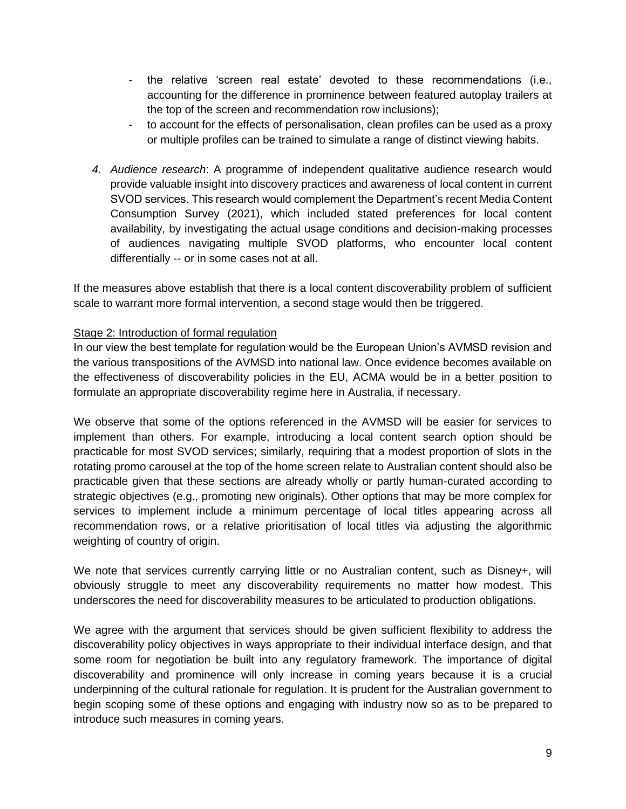- the relative 'screen real estate' devoted to these recommendations (i.e., accounting for the difference in prominence between featured autoplay trailers at the top of the screen and recommendation row inclusions);
- to account for the effects of personalisation, clean profiles can be used as a proxy or multiple profiles can be trained to simulate a range of distinct viewing habits.
- *4. Audience research*: A programme of independent qualitative audience research would provide valuable insight into discovery practices and awareness of local content in current SVOD services. This research would complement the Department's recent Media Content Consumption Survey (2021), which included stated preferences for local content availability, by investigating the actual usage conditions and decision-making processes of audiences navigating multiple SVOD platforms, who encounter local content differentially -- or in some cases not at all.

If the measures above establish that there is a local content discoverability problem of sufficient scale to warrant more formal intervention, a second stage would then be triggered.

#### Stage 2: Introduction of formal regulation

In our view the best template for regulation would be the European Union's AVMSD revision and the various transpositions of the AVMSD into national law. Once evidence becomes available on the effectiveness of discoverability policies in the EU, ACMA would be in a better position to formulate an appropriate discoverability regime here in Australia, if necessary.

We observe that some of the options referenced in the AVMSD will be easier for services to implement than others. For example, introducing a local content search option should be practicable for most SVOD services; similarly, requiring that a modest proportion of slots in the rotating promo carousel at the top of the home screen relate to Australian content should also be practicable given that these sections are already wholly or partly human-curated according to strategic objectives (e.g., promoting new originals). Other options that may be more complex for services to implement include a minimum percentage of local titles appearing across all recommendation rows, or a relative prioritisation of local titles via adjusting the algorithmic weighting of country of origin.

We note that services currently carrying little or no Australian content, such as Disney+, will obviously struggle to meet any discoverability requirements no matter how modest. This underscores the need for discoverability measures to be articulated to production obligations.

We agree with the argument that services should be given sufficient flexibility to address the discoverability policy objectives in ways appropriate to their individual interface design, and that some room for negotiation be built into any regulatory framework. The importance of digital discoverability and prominence will only increase in coming years because it is a crucial underpinning of the cultural rationale for regulation. It is prudent for the Australian government to begin scoping some of these options and engaging with industry now so as to be prepared to introduce such measures in coming years.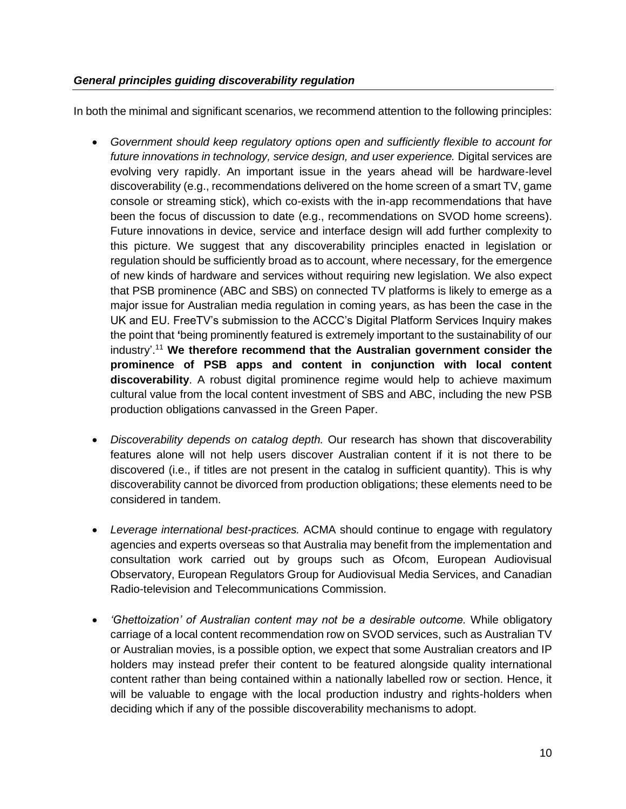### *General principles guiding discoverability regulation*

In both the minimal and significant scenarios, we recommend attention to the following principles:

- *Government should keep regulatory options open and sufficiently flexible to account for*  future innovations in technology, service design, and user experience. Digital services are evolving very rapidly. An important issue in the years ahead will be hardware-level discoverability (e.g., recommendations delivered on the home screen of a smart TV, game console or streaming stick), which co-exists with the in-app recommendations that have been the focus of discussion to date (e.g., recommendations on SVOD home screens). Future innovations in device, service and interface design will add further complexity to this picture. We suggest that any discoverability principles enacted in legislation or regulation should be sufficiently broad as to account, where necessary, for the emergence of new kinds of hardware and services without requiring new legislation. We also expect that PSB prominence (ABC and SBS) on connected TV platforms is likely to emerge as a major issue for Australian media regulation in coming years, as has been the case in the UK and EU. FreeTV's submission to the ACCC's Digital Platform Services Inquiry makes the point that **'**being prominently featured is extremely important to the sustainability of our industry'. <sup>11</sup> **We therefore recommend that the Australian government consider the prominence of PSB apps and content in conjunction with local content discoverability**. A robust digital prominence regime would help to achieve maximum cultural value from the local content investment of SBS and ABC, including the new PSB production obligations canvassed in the Green Paper.
- *Discoverability depends on catalog depth.* Our research has shown that discoverability features alone will not help users discover Australian content if it is not there to be discovered (i.e., if titles are not present in the catalog in sufficient quantity). This is why discoverability cannot be divorced from production obligations; these elements need to be considered in tandem.
- *Leverage international best-practices.* ACMA should continue to engage with regulatory agencies and experts overseas so that Australia may benefit from the implementation and consultation work carried out by groups such as Ofcom, European Audiovisual Observatory, European Regulators Group for Audiovisual Media Services, and Canadian Radio-television and Telecommunications Commission.
- *'Ghettoization' of Australian content may not be a desirable outcome.* While obligatory carriage of a local content recommendation row on SVOD services, such as Australian TV or Australian movies, is a possible option, we expect that some Australian creators and IP holders may instead prefer their content to be featured alongside quality international content rather than being contained within a nationally labelled row or section. Hence, it will be valuable to engage with the local production industry and rights-holders when deciding which if any of the possible discoverability mechanisms to adopt.